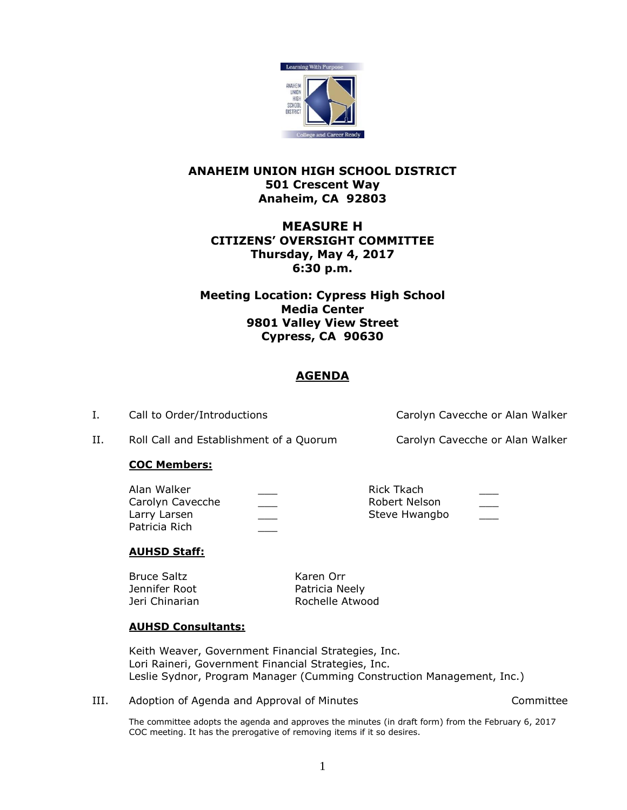

## **ANAHEIM UNION HIGH SCHOOL DISTRICT 501 Crescent Way Anaheim, CA 92803**

# **MEASURE H CITIZENS' OVERSIGHT COMMITTEE Thursday, May 4, 2017 6:30 p.m.**

**Meeting Location: Cypress High School Media Center 9801 Valley View Street Cypress, CA 90630**

# **AGENDA**

I. Call to Order/Introductions Carolyn Cavecche or Alan Walker

II. Roll Call and Establishment of a Quorum Carolyn Cavecche or Alan Walker

### **COC Members:**

| Alan Walker      | Rick Tkach    |     |
|------------------|---------------|-----|
| Carolyn Cavecche | Robert Nelson | ___ |
| Larry Larsen     | Steve Hwangbo |     |
| Patricia Rich    |               |     |

### **AUHSD Staff:**

Bruce Saltz Karen Orr Jennifer Root **Patricia Neely** 

Jeri Chinarian **Rochelle Atwood** 

### **AUHSD Consultants:**

Keith Weaver, Government Financial Strategies, Inc. Lori Raineri, Government Financial Strategies, Inc. Leslie Sydnor, Program Manager (Cumming Construction Management, Inc.)

III. Adoption of Agenda and Approval of Minutes Committee

The committee adopts the agenda and approves the minutes (in draft form) from the February 6, 2017 COC meeting. It has the prerogative of removing items if it so desires.